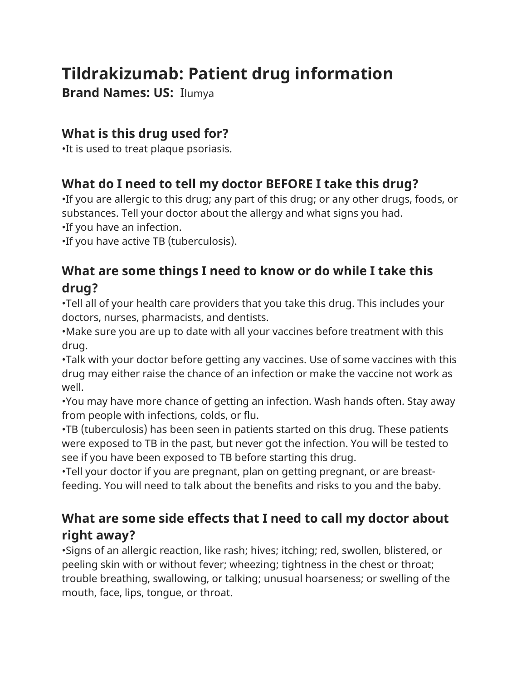# **Tildrakizumab: Patient drug information**

**Brand Names: US:** Ilumya

### **What is this drug used for?**

•It is used to treat plaque psoriasis.

# **What do I need to tell my doctor BEFORE I take this drug?**

•If you are allergic to this drug; any part of this drug; or any other drugs, foods, or substances. Tell your doctor about the allergy and what signs you had.

•If you have an infection.

•If you have active TB (tuberculosis).

## **What are some things I need to know or do while I take this drug?**

•Tell all of your health care providers that you take this drug. This includes your doctors, nurses, pharmacists, and dentists.

•Make sure you are up to date with all your vaccines before treatment with this drug.

•Talk with your doctor before getting any vaccines. Use of some vaccines with this drug may either raise the chance of an infection or make the vaccine not work as well.

•You may have more chance of getting an infection. Wash hands often. Stay away from people with infections, colds, or flu.

•TB (tuberculosis) has been seen in patients started on this drug. These patients were exposed to TB in the past, but never got the infection. You will be tested to see if you have been exposed to TB before starting this drug.

•Tell your doctor if you are pregnant, plan on getting pregnant, or are breastfeeding. You will need to talk about the benefits and risks to you and the baby.

# **What are some side effects that I need to call my doctor about right away?**

•Signs of an allergic reaction, like rash; hives; itching; red, swollen, blistered, or peeling skin with or without fever; wheezing; tightness in the chest or throat; trouble breathing, swallowing, or talking; unusual hoarseness; or swelling of the mouth, face, lips, tongue, or throat.